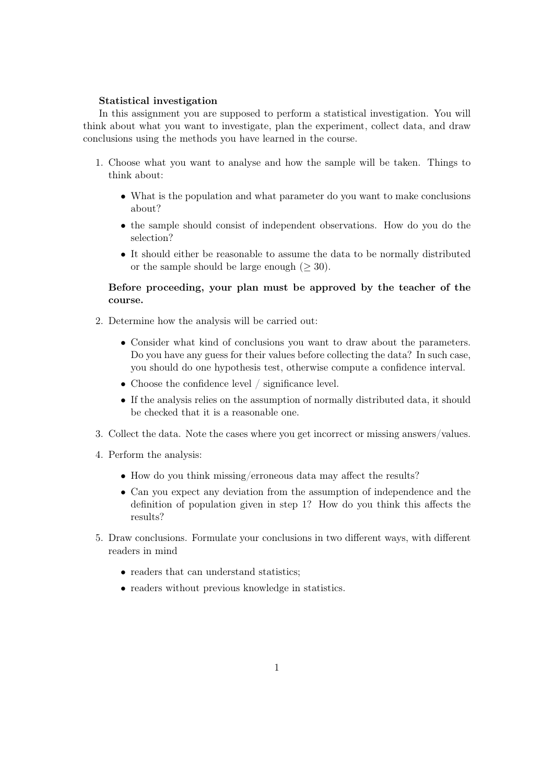## Statistical investigation

In this assignment you are supposed to perform a statistical investigation. You will think about what you want to investigate, plan the experiment, collect data, and draw conclusions using the methods you have learned in the course.

- 1. Choose what you want to analyse and how the sample will be taken. Things to think about:
	- What is the population and what parameter do you want to make conclusions about?
	- the sample should consist of independent observations. How do you do the selection?
	- It should either be reasonable to assume the data to be normally distributed or the sample should be large enough ( $\geq 30$ ).

## Before proceeding, your plan must be approved by the teacher of the course.

- 2. Determine how the analysis will be carried out:
	- Consider what kind of conclusions you want to draw about the parameters. Do you have any guess for their values before collecting the data? In such case, you should do one hypothesis test, otherwise compute a confidence interval.
	- Choose the confidence level / significance level.
	- If the analysis relies on the assumption of normally distributed data, it should be checked that it is a reasonable one.
- 3. Collect the data. Note the cases where you get incorrect or missing answers/values.
- 4. Perform the analysis:
	- How do you think missing/erroneous data may affect the results?
	- Can you expect any deviation from the assumption of independence and the definition of population given in step 1? How do you think this affects the results?
- 5. Draw conclusions. Formulate your conclusions in two different ways, with different readers in mind
	- readers that can understand statistics;
	- readers without previous knowledge in statistics.